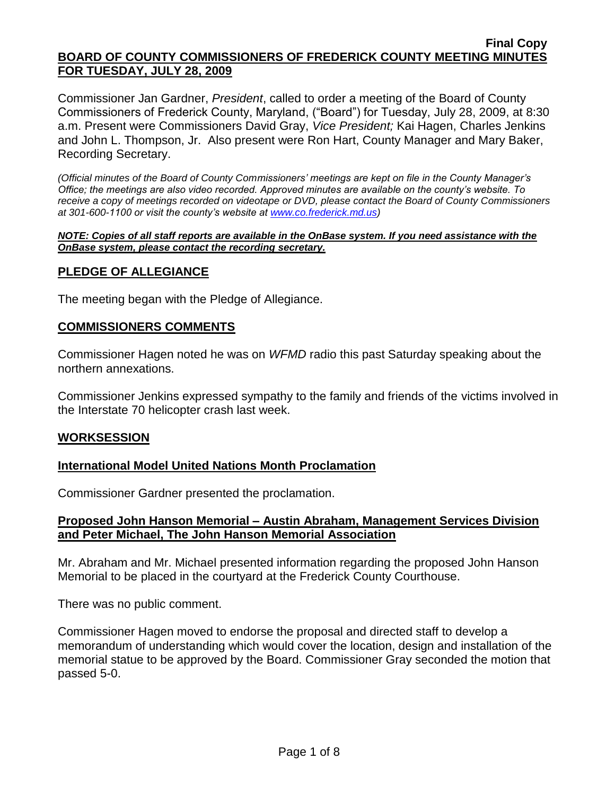Commissioner Jan Gardner, *President*, called to order a meeting of the Board of County Commissioners of Frederick County, Maryland, ("Board") for Tuesday, July 28, 2009, at 8:30 a.m. Present were Commissioners David Gray, *Vice President;* Kai Hagen, Charles Jenkins and John L. Thompson, Jr. Also present were Ron Hart, County Manager and Mary Baker, Recording Secretary.

*(Official minutes of the Board of County Commissioners' meetings are kept on file in the County Manager's Office; the meetings are also video recorded. Approved minutes are available on the county's website. To receive a copy of meetings recorded on videotape or DVD, please contact the Board of County Commissioners at 301-600-1100 or visit the county's website at [www.co.frederick.md.us\)](http://www.co.frederick.md.us/)*

#### *NOTE: Copies of all staff reports are available in the OnBase system. If you need assistance with the OnBase system, please contact the recording secretary.*

# **PLEDGE OF ALLEGIANCE**

The meeting began with the Pledge of Allegiance.

# **COMMISSIONERS COMMENTS**

Commissioner Hagen noted he was on *WFMD* radio this past Saturday speaking about the northern annexations.

Commissioner Jenkins expressed sympathy to the family and friends of the victims involved in the Interstate 70 helicopter crash last week.

# **WORKSESSION**

# **International Model United Nations Month Proclamation**

Commissioner Gardner presented the proclamation.

### **Proposed John Hanson Memorial – Austin Abraham, Management Services Division and Peter Michael, The John Hanson Memorial Association**

Mr. Abraham and Mr. Michael presented information regarding the proposed John Hanson Memorial to be placed in the courtyard at the Frederick County Courthouse.

There was no public comment.

Commissioner Hagen moved to endorse the proposal and directed staff to develop a memorandum of understanding which would cover the location, design and installation of the memorial statue to be approved by the Board. Commissioner Gray seconded the motion that passed 5-0.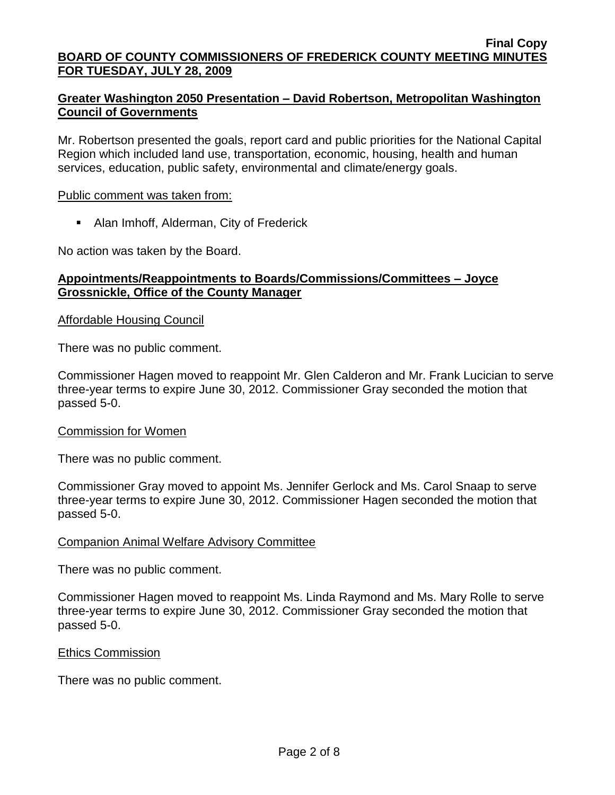# **Greater Washington 2050 Presentation – David Robertson, Metropolitan Washington Council of Governments**

Mr. Robertson presented the goals, report card and public priorities for the National Capital Region which included land use, transportation, economic, housing, health and human services, education, public safety, environmental and climate/energy goals.

### Public comment was taken from:

Alan Imhoff, Alderman, City of Frederick

No action was taken by the Board.

# **Appointments/Reappointments to Boards/Commissions/Committees – Joyce Grossnickle, Office of the County Manager**

### Affordable Housing Council

There was no public comment.

Commissioner Hagen moved to reappoint Mr. Glen Calderon and Mr. Frank Lucician to serve three-year terms to expire June 30, 2012. Commissioner Gray seconded the motion that passed 5-0.

### Commission for Women

There was no public comment.

Commissioner Gray moved to appoint Ms. Jennifer Gerlock and Ms. Carol Snaap to serve three-year terms to expire June 30, 2012. Commissioner Hagen seconded the motion that passed 5-0.

# Companion Animal Welfare Advisory Committee

There was no public comment.

Commissioner Hagen moved to reappoint Ms. Linda Raymond and Ms. Mary Rolle to serve three-year terms to expire June 30, 2012. Commissioner Gray seconded the motion that passed 5-0.

### Ethics Commission

There was no public comment.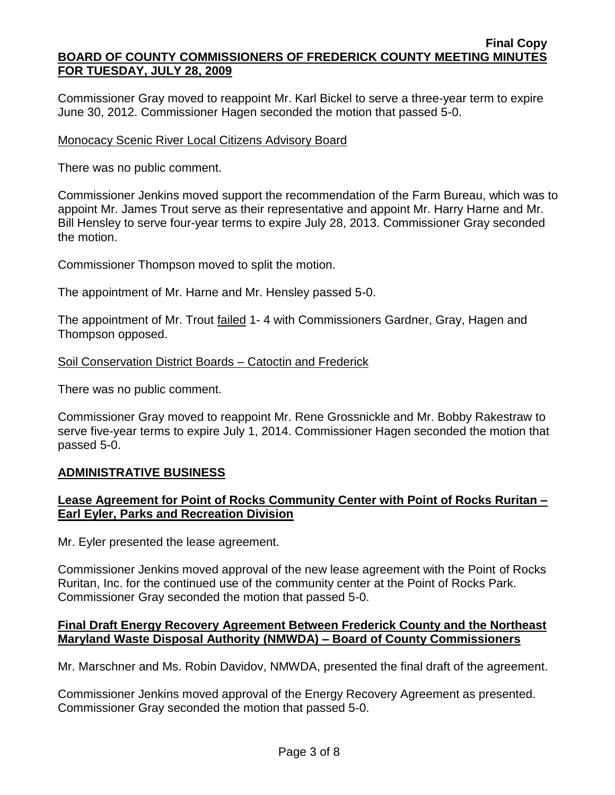Commissioner Gray moved to reappoint Mr. Karl Bickel to serve a three-year term to expire June 30, 2012. Commissioner Hagen seconded the motion that passed 5-0.

### Monocacy Scenic River Local Citizens Advisory Board

There was no public comment.

Commissioner Jenkins moved support the recommendation of the Farm Bureau, which was to appoint Mr. James Trout serve as their representative and appoint Mr. Harry Harne and Mr. Bill Hensley to serve four-year terms to expire July 28, 2013. Commissioner Gray seconded the motion.

Commissioner Thompson moved to split the motion.

The appointment of Mr. Harne and Mr. Hensley passed 5-0.

The appointment of Mr. Trout failed 1- 4 with Commissioners Gardner, Gray, Hagen and Thompson opposed.

### Soil Conservation District Boards – Catoctin and Frederick

There was no public comment.

Commissioner Gray moved to reappoint Mr. Rene Grossnickle and Mr. Bobby Rakestraw to serve five-year terms to expire July 1, 2014. Commissioner Hagen seconded the motion that passed 5-0.

# **ADMINISTRATIVE BUSINESS**

# **Lease Agreement for Point of Rocks Community Center with Point of Rocks Ruritan – Earl Eyler, Parks and Recreation Division**

Mr. Eyler presented the lease agreement.

Commissioner Jenkins moved approval of the new lease agreement with the Point of Rocks Ruritan, Inc. for the continued use of the community center at the Point of Rocks Park. Commissioner Gray seconded the motion that passed 5-0.

### **Final Draft Energy Recovery Agreement Between Frederick County and the Northeast Maryland Waste Disposal Authority (NMWDA) – Board of County Commissioners**

Mr. Marschner and Ms. Robin Davidov, NMWDA, presented the final draft of the agreement.

Commissioner Jenkins moved approval of the Energy Recovery Agreement as presented. Commissioner Gray seconded the motion that passed 5-0.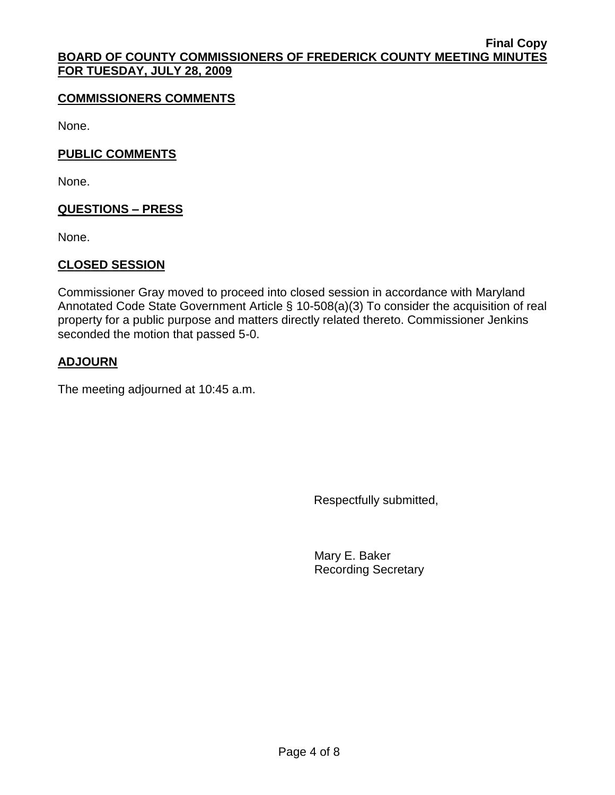# **COMMISSIONERS COMMENTS**

None.

# **PUBLIC COMMENTS**

None.

# **QUESTIONS – PRESS**

None.

# **CLOSED SESSION**

Commissioner Gray moved to proceed into closed session in accordance with Maryland Annotated Code State Government Article § 10-508(a)(3) To consider the acquisition of real property for a public purpose and matters directly related thereto. Commissioner Jenkins seconded the motion that passed 5-0.

# **ADJOURN**

The meeting adjourned at 10:45 a.m.

Respectfully submitted,

Mary E. Baker Recording Secretary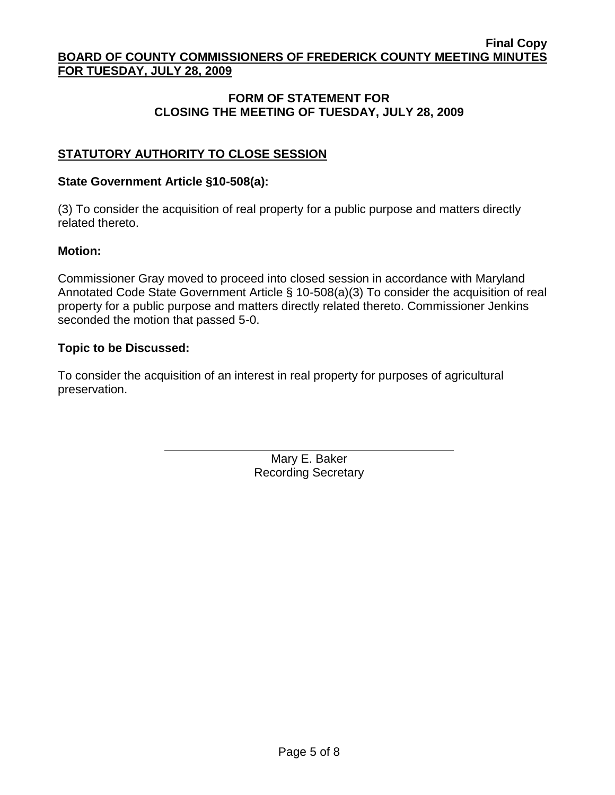# **FORM OF STATEMENT FOR CLOSING THE MEETING OF TUESDAY, JULY 28, 2009**

# **STATUTORY AUTHORITY TO CLOSE SESSION**

# **State Government Article §10-508(a):**

(3) To consider the acquisition of real property for a public purpose and matters directly related thereto.

# **Motion:**

Commissioner Gray moved to proceed into closed session in accordance with Maryland Annotated Code State Government Article § 10-508(a)(3) To consider the acquisition of real property for a public purpose and matters directly related thereto. Commissioner Jenkins seconded the motion that passed 5-0.

# **Topic to be Discussed:**

To consider the acquisition of an interest in real property for purposes of agricultural preservation.

> Mary E. Baker Recording Secretary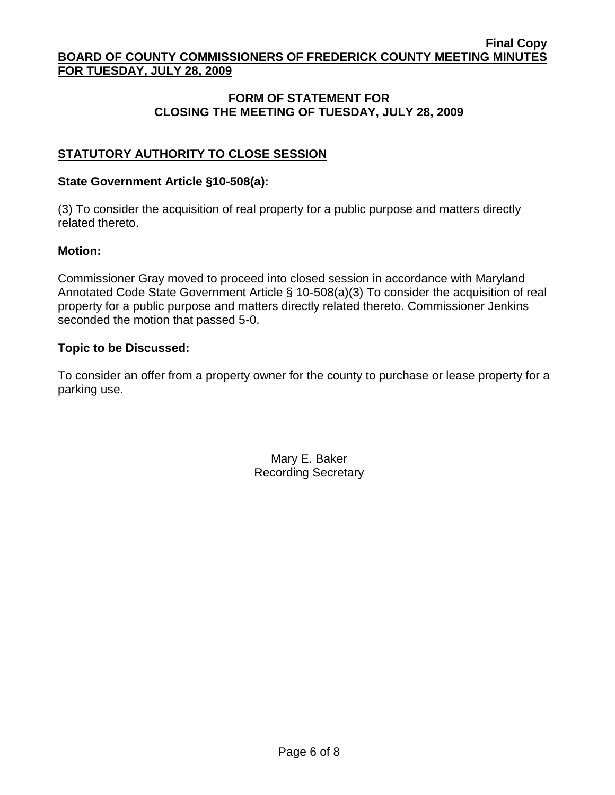# **FORM OF STATEMENT FOR CLOSING THE MEETING OF TUESDAY, JULY 28, 2009**

# **STATUTORY AUTHORITY TO CLOSE SESSION**

# **State Government Article §10-508(a):**

(3) To consider the acquisition of real property for a public purpose and matters directly related thereto.

# **Motion:**

Commissioner Gray moved to proceed into closed session in accordance with Maryland Annotated Code State Government Article § 10-508(a)(3) To consider the acquisition of real property for a public purpose and matters directly related thereto. Commissioner Jenkins seconded the motion that passed 5-0.

# **Topic to be Discussed:**

To consider an offer from a property owner for the county to purchase or lease property for a parking use.

> Mary E. Baker Recording Secretary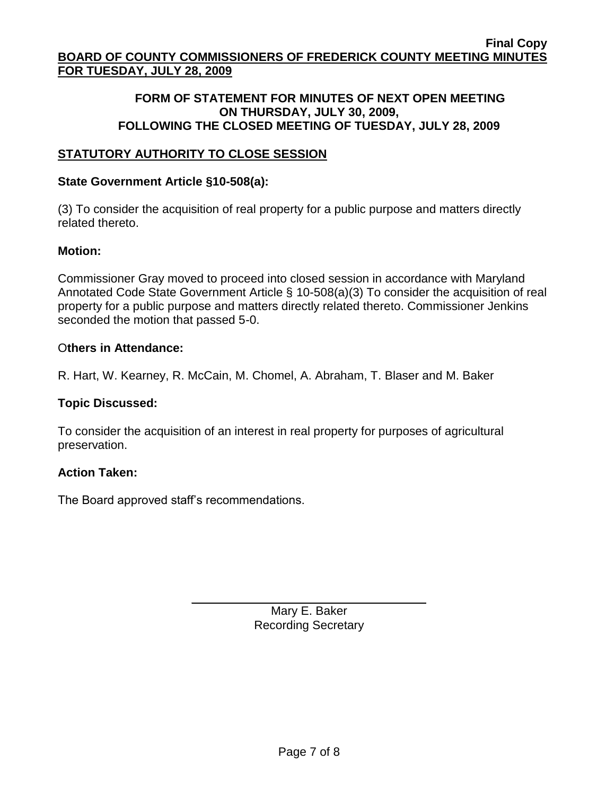# **FORM OF STATEMENT FOR MINUTES OF NEXT OPEN MEETING ON THURSDAY, JULY 30, 2009, FOLLOWING THE CLOSED MEETING OF TUESDAY, JULY 28, 2009**

# **STATUTORY AUTHORITY TO CLOSE SESSION**

### **State Government Article §10-508(a):**

(3) To consider the acquisition of real property for a public purpose and matters directly related thereto.

### **Motion:**

Commissioner Gray moved to proceed into closed session in accordance with Maryland Annotated Code State Government Article § 10-508(a)(3) To consider the acquisition of real property for a public purpose and matters directly related thereto. Commissioner Jenkins seconded the motion that passed 5-0.

### O**thers in Attendance:**

R. Hart, W. Kearney, R. McCain, M. Chomel, A. Abraham, T. Blaser and M. Baker

### **Topic Discussed:**

To consider the acquisition of an interest in real property for purposes of agricultural preservation.

### **Action Taken:**

The Board approved staff's recommendations.

\_\_\_\_\_\_\_\_\_\_\_\_\_\_\_\_\_\_\_\_\_\_\_\_\_\_\_\_\_\_\_\_\_\_\_ Mary E. Baker Recording Secretary